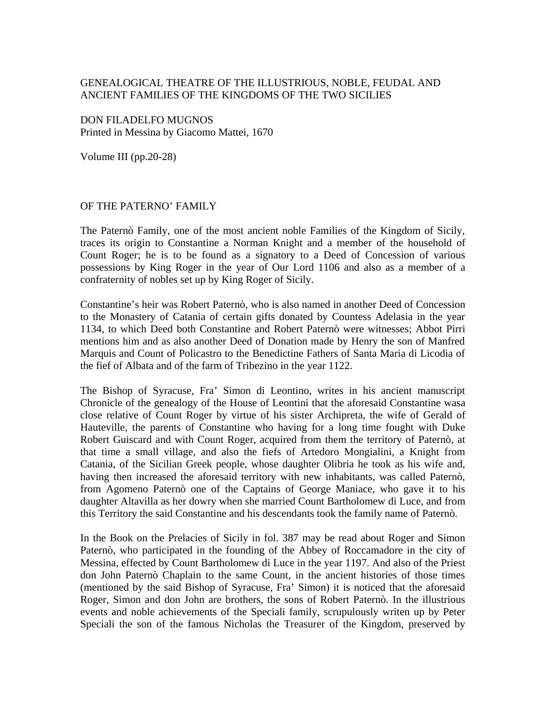## GENEALOGICAL THEATRE OF THE ILLUSTRIOUS, NOBLE, FEUDAL AND ANCIENT FAMILIES OF THE KINGDOMS OF THE TWO SICILIES

DON FILADELFO MUGNOS Printed in Messina by Giacomo Mattei, 1670

Volume III (pp.20-28)

## OF THE PATERNO' FAMILY

The Paternò Family, one of the most ancient noble Families of the Kingdom of Sicily, traces its origin to Constantine a Norman Knight and a member of the household of Count Roger; he is to be found as a signatory to a Deed of Concession of various possessions by King Roger in the year of Our Lord 1106 and also as a member of a confraternity of nobles set up by King Roger of Sicily.

Constantine's heir was Robert Paternò, who is also named in another Deed of Concession to the Monastery of Catania of certain gifts donated by Countess Adelasia in the year 1134, to which Deed both Constantine and Robert Paternò were witnesses; Abbot Pirri mentions him and as also another Deed of Donation made by Henry the son of Manfred Marquis and Count of Policastro to the Benedictine Fathers of Santa Maria di Licodia of the fief of Albata and of the farm of Tribezino in the year 1122.

The Bishop of Syracuse, Fra' Simon di Leontino, writes in his ancient manuscript Chronicle of the genealogy of the House of Leontini that the aforesaid Constantine wasa close relative of Count Roger by virtue of his sister Archipreta, the wife of Gerald of Hauteville, the parents of Constantine who having for a long time fought with Duke Robert Guiscard and with Count Roger, acquired from them the territory of Paternò, at that time a small village, and also the fiefs of Artedoro Mongialini, a Knight from Catania, of the Sicilian Greek people, whose daughter Olibria he took as his wife and, having then increased the aforesaid territory with new inhabitants, was called Paternò, from Agomeno Paternò one of the Captains of George Maniace, who gave it to his daughter Altavilla as her dowry when she married Count Bartholomew di Luce, and from this Territory the said Constantine and his descendants took the family name of Paternò.

In the Book on the Prelacies of Sicily in fol. 387 may be read about Roger and Simon Paternò, who participated in the founding of the Abbey of Roccamadore in the city of Messina, effected by Count Bartholomew di Luce in the year 1197. And also of the Priest don John Paternò Chaplain to the same Count, in the ancient histories of those times (mentioned by the said Bishop of Syracuse, Fra' Simon) it is noticed that the aforesaid Roger, Simon and don John are brothers, the sons of Robert Paternò. In the illustrious events and noble achievements of the Speciali family, scrupulously writen up by Peter Speciali the son of the famous Nicholas the Treasurer of the Kingdom, preserved by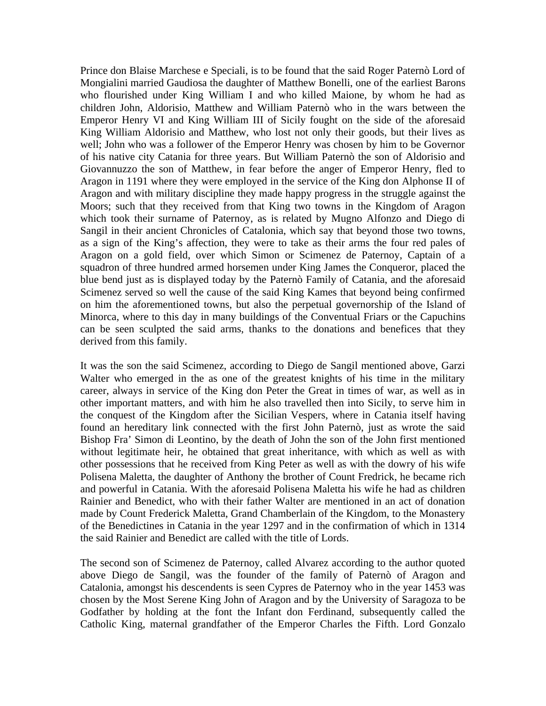Prince don Blaise Marchese e Speciali, is to be found that the said Roger Paternò Lord of Mongialini married Gaudiosa the daughter of Matthew Bonelli, one of the earliest Barons who flourished under King William I and who killed Maione, by whom he had as children John, Aldorisio, Matthew and William Paternò who in the wars between the Emperor Henry VI and King William III of Sicily fought on the side of the aforesaid King William Aldorisio and Matthew, who lost not only their goods, but their lives as well; John who was a follower of the Emperor Henry was chosen by him to be Governor of his native city Catania for three years. But William Paternò the son of Aldorisio and Giovannuzzo the son of Matthew, in fear before the anger of Emperor Henry, fled to Aragon in 1191 where they were employed in the service of the King don Alphonse II of Aragon and with military discipline they made happy progress in the struggle against the Moors; such that they received from that King two towns in the Kingdom of Aragon which took their surname of Paternoy, as is related by Mugno Alfonzo and Diego di Sangil in their ancient Chronicles of Catalonia, which say that beyond those two towns, as a sign of the King's affection, they were to take as their arms the four red pales of Aragon on a gold field, over which Simon or Scimenez de Paternoy, Captain of a squadron of three hundred armed horsemen under King James the Conqueror, placed the blue bend just as is displayed today by the Paternò Family of Catania, and the aforesaid Scimenez served so well the cause of the said King Kames that beyond being confirmed on him the aforementioned towns, but also the perpetual governorship of the Island of Minorca, where to this day in many buildings of the Conventual Friars or the Capuchins can be seen sculpted the said arms, thanks to the donations and benefices that they derived from this family.

It was the son the said Scimenez, according to Diego de Sangil mentioned above, Garzi Walter who emerged in the as one of the greatest knights of his time in the military career, always in service of the King don Peter the Great in times of war, as well as in other important matters, and with him he also travelled then into Sicily, to serve him in the conquest of the Kingdom after the Sicilian Vespers, where in Catania itself having found an hereditary link connected with the first John Paternò, just as wrote the said Bishop Fra' Simon di Leontino, by the death of John the son of the John first mentioned without legitimate heir, he obtained that great inheritance, with which as well as with other possessions that he received from King Peter as well as with the dowry of his wife Polisena Maletta, the daughter of Anthony the brother of Count Fredrick, he became rich and powerful in Catania. With the aforesaid Polisena Maletta his wife he had as children Rainier and Benedict, who with their father Walter are mentioned in an act of donation made by Count Frederick Maletta, Grand Chamberlain of the Kingdom, to the Monastery of the Benedictines in Catania in the year 1297 and in the confirmation of which in 1314 the said Rainier and Benedict are called with the title of Lords.

The second son of Scimenez de Paternoy, called Alvarez according to the author quoted above Diego de Sangil, was the founder of the family of Paternò of Aragon and Catalonia, amongst his descendents is seen Cypres de Paternoy who in the year 1453 was chosen by the Most Serene King John of Aragon and by the University of Saragoza to be Godfather by holding at the font the Infant don Ferdinand, subsequently called the Catholic King, maternal grandfather of the Emperor Charles the Fifth. Lord Gonzalo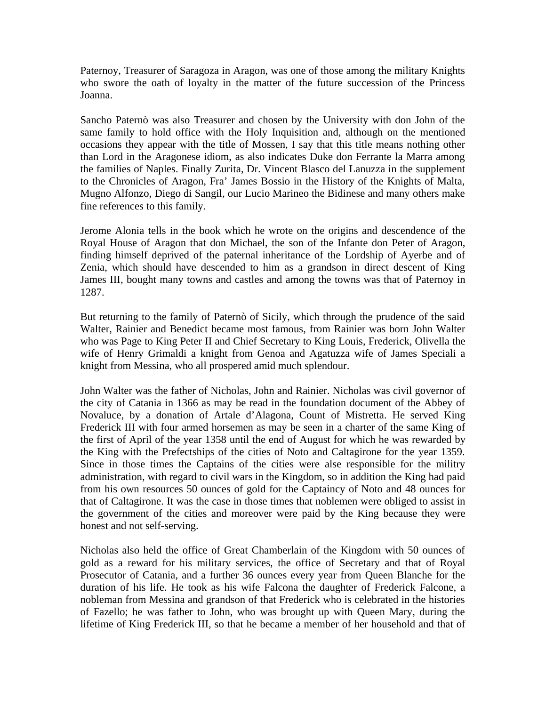Paternoy, Treasurer of Saragoza in Aragon, was one of those among the military Knights who swore the oath of loyalty in the matter of the future succession of the Princess Joanna.

Sancho Paternò was also Treasurer and chosen by the University with don John of the same family to hold office with the Holy Inquisition and, although on the mentioned occasions they appear with the title of Mossen, I say that this title means nothing other than Lord in the Aragonese idiom, as also indicates Duke don Ferrante la Marra among the families of Naples. Finally Zurita, Dr. Vincent Blasco del Lanuzza in the supplement to the Chronicles of Aragon, Fra' James Bossio in the History of the Knights of Malta, Mugno Alfonzo, Diego di Sangil, our Lucio Marineo the Bidinese and many others make fine references to this family.

Jerome Alonia tells in the book which he wrote on the origins and descendence of the Royal House of Aragon that don Michael, the son of the Infante don Peter of Aragon, finding himself deprived of the paternal inheritance of the Lordship of Ayerbe and of Zenia, which should have descended to him as a grandson in direct descent of King James III, bought many towns and castles and among the towns was that of Paternoy in 1287.

But returning to the family of Paternò of Sicily, which through the prudence of the said Walter, Rainier and Benedict became most famous, from Rainier was born John Walter who was Page to King Peter II and Chief Secretary to King Louis, Frederick, Olivella the wife of Henry Grimaldi a knight from Genoa and Agatuzza wife of James Speciali a knight from Messina, who all prospered amid much splendour.

John Walter was the father of Nicholas, John and Rainier. Nicholas was civil governor of the city of Catania in 1366 as may be read in the foundation document of the Abbey of Novaluce, by a donation of Artale d'Alagona, Count of Mistretta. He served King Frederick III with four armed horsemen as may be seen in a charter of the same King of the first of April of the year 1358 until the end of August for which he was rewarded by the King with the Prefectships of the cities of Noto and Caltagirone for the year 1359. Since in those times the Captains of the cities were alse responsible for the militry administration, with regard to civil wars in the Kingdom, so in addition the King had paid from his own resources 50 ounces of gold for the Captaincy of Noto and 48 ounces for that of Caltagirone. It was the case in those times that noblemen were obliged to assist in the government of the cities and moreover were paid by the King because they were honest and not self-serving.

Nicholas also held the office of Great Chamberlain of the Kingdom with 50 ounces of gold as a reward for his military services, the office of Secretary and that of Royal Prosecutor of Catania, and a further 36 ounces every year from Queen Blanche for the duration of his life. He took as his wife Falcona the daughter of Frederick Falcone, a nobleman from Messina and grandson of that Frederick who is celebrated in the histories of Fazello; he was father to John, who was brought up with Queen Mary, during the lifetime of King Frederick III, so that he became a member of her household and that of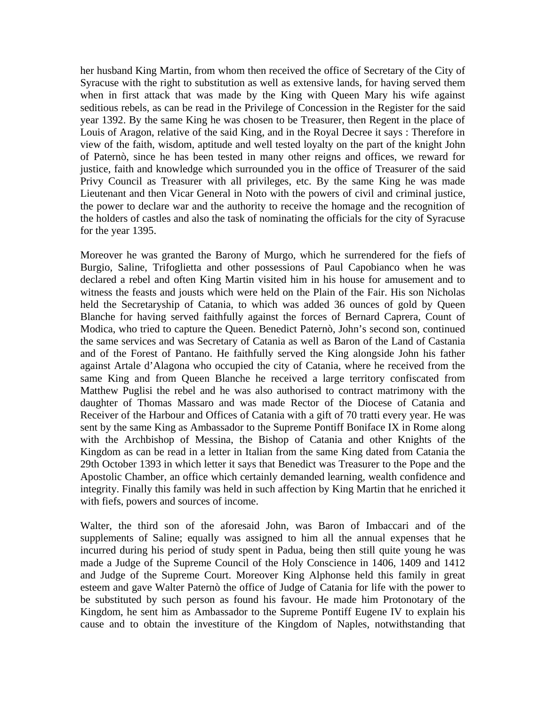her husband King Martin, from whom then received the office of Secretary of the City of Syracuse with the right to substitution as well as extensive lands, for having served them when in first attack that was made by the King with Queen Mary his wife against seditious rebels, as can be read in the Privilege of Concession in the Register for the said year 1392. By the same King he was chosen to be Treasurer, then Regent in the place of Louis of Aragon, relative of the said King, and in the Royal Decree it says : Therefore in view of the faith, wisdom, aptitude and well tested loyalty on the part of the knight John of Paternò, since he has been tested in many other reigns and offices, we reward for justice, faith and knowledge which surrounded you in the office of Treasurer of the said Privy Council as Treasurer with all privileges, etc. By the same King he was made Lieutenant and then Vicar General in Noto with the powers of civil and criminal justice, the power to declare war and the authority to receive the homage and the recognition of the holders of castles and also the task of nominating the officials for the city of Syracuse for the year 1395.

Moreover he was granted the Barony of Murgo, which he surrendered for the fiefs of Burgio, Saline, Trifoglietta and other possessions of Paul Capobianco when he was declared a rebel and often King Martin visited him in his house for amusement and to witness the feasts and jousts which were held on the Plain of the Fair. His son Nicholas held the Secretaryship of Catania, to which was added 36 ounces of gold by Queen Blanche for having served faithfully against the forces of Bernard Caprera, Count of Modica, who tried to capture the Queen. Benedict Paternò, John's second son, continued the same services and was Secretary of Catania as well as Baron of the Land of Castania and of the Forest of Pantano. He faithfully served the King alongside John his father against Artale d'Alagona who occupied the city of Catania, where he received from the same King and from Queen Blanche he received a large territory confiscated from Matthew Puglisi the rebel and he was also authorised to contract matrimony with the daughter of Thomas Massaro and was made Rector of the Diocese of Catania and Receiver of the Harbour and Offices of Catania with a gift of 70 tratti every year. He was sent by the same King as Ambassador to the Supreme Pontiff Boniface IX in Rome along with the Archbishop of Messina, the Bishop of Catania and other Knights of the Kingdom as can be read in a letter in Italian from the same King dated from Catania the 29th October 1393 in which letter it says that Benedict was Treasurer to the Pope and the Apostolic Chamber, an office which certainly demanded learning, wealth confidence and integrity. Finally this family was held in such affection by King Martin that he enriched it with fiefs, powers and sources of income.

Walter, the third son of the aforesaid John, was Baron of Imbaccari and of the supplements of Saline; equally was assigned to him all the annual expenses that he incurred during his period of study spent in Padua, being then still quite young he was made a Judge of the Supreme Council of the Holy Conscience in 1406, 1409 and 1412 and Judge of the Supreme Court. Moreover King Alphonse held this family in great esteem and gave Walter Paternò the office of Judge of Catania for life with the power to be substituted by such person as found his favour. He made him Protonotary of the Kingdom, he sent him as Ambassador to the Supreme Pontiff Eugene IV to explain his cause and to obtain the investiture of the Kingdom of Naples, notwithstanding that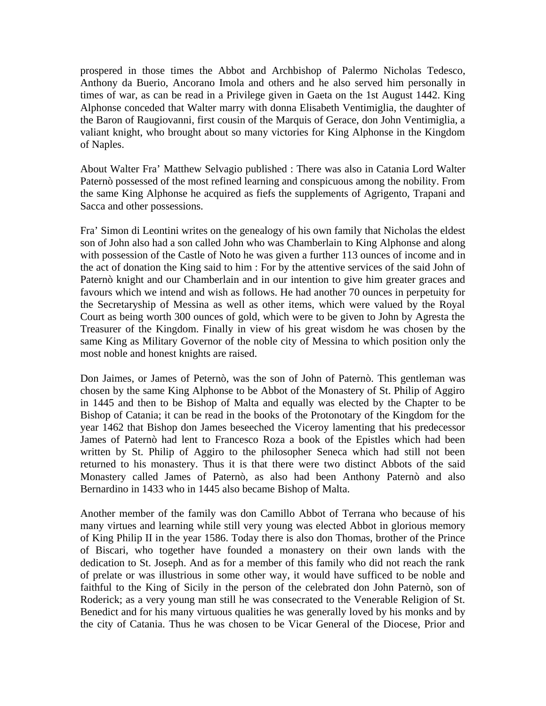prospered in those times the Abbot and Archbishop of Palermo Nicholas Tedesco, Anthony da Buerio, Ancorano Imola and others and he also served him personally in times of war, as can be read in a Privilege given in Gaeta on the 1st August 1442. King Alphonse conceded that Walter marry with donna Elisabeth Ventimiglia, the daughter of the Baron of Raugiovanni, first cousin of the Marquis of Gerace, don John Ventimiglia, a valiant knight, who brought about so many victories for King Alphonse in the Kingdom of Naples.

About Walter Fra' Matthew Selvagio published : There was also in Catania Lord Walter Paternò possessed of the most refined learning and conspicuous among the nobility. From the same King Alphonse he acquired as fiefs the supplements of Agrigento, Trapani and Sacca and other possessions.

Fra' Simon di Leontini writes on the genealogy of his own family that Nicholas the eldest son of John also had a son called John who was Chamberlain to King Alphonse and along with possession of the Castle of Noto he was given a further 113 ounces of income and in the act of donation the King said to him : For by the attentive services of the said John of Paternò knight and our Chamberlain and in our intention to give him greater graces and favours which we intend and wish as follows. He had another 70 ounces in perpetuity for the Secretaryship of Messina as well as other items, which were valued by the Royal Court as being worth 300 ounces of gold, which were to be given to John by Agresta the Treasurer of the Kingdom. Finally in view of his great wisdom he was chosen by the same King as Military Governor of the noble city of Messina to which position only the most noble and honest knights are raised.

Don Jaimes, or James of Peternò, was the son of John of Paternò. This gentleman was chosen by the same King Alphonse to be Abbot of the Monastery of St. Philip of Aggiro in 1445 and then to be Bishop of Malta and equally was elected by the Chapter to be Bishop of Catania; it can be read in the books of the Protonotary of the Kingdom for the year 1462 that Bishop don James beseeched the Viceroy lamenting that his predecessor James of Paternò had lent to Francesco Roza a book of the Epistles which had been written by St. Philip of Aggiro to the philosopher Seneca which had still not been returned to his monastery. Thus it is that there were two distinct Abbots of the said Monastery called James of Paternò, as also had been Anthony Paternò and also Bernardino in 1433 who in 1445 also became Bishop of Malta.

Another member of the family was don Camillo Abbot of Terrana who because of his many virtues and learning while still very young was elected Abbot in glorious memory of King Philip II in the year 1586. Today there is also don Thomas, brother of the Prince of Biscari, who together have founded a monastery on their own lands with the dedication to St. Joseph. And as for a member of this family who did not reach the rank of prelate or was illustrious in some other way, it would have sufficed to be noble and faithful to the King of Sicily in the person of the celebrated don John Paternò, son of Roderick; as a very young man still he was consecrated to the Venerable Religion of St. Benedict and for his many virtuous qualities he was generally loved by his monks and by the city of Catania. Thus he was chosen to be Vicar General of the Diocese, Prior and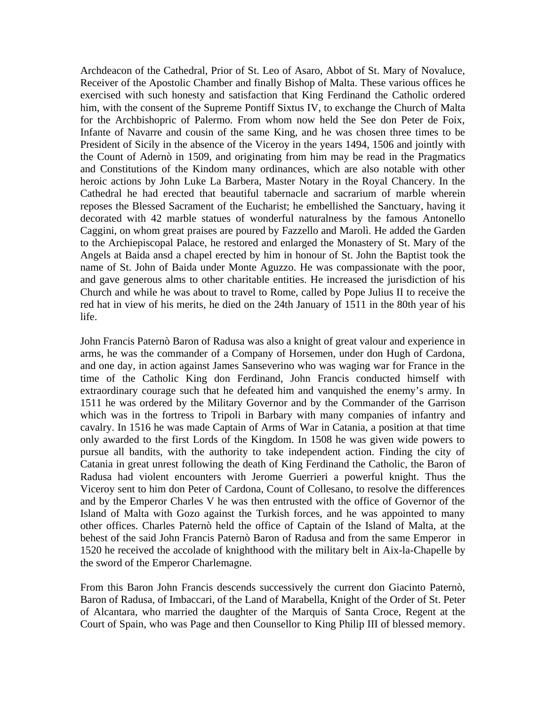Archdeacon of the Cathedral, Prior of St. Leo of Asaro, Abbot of St. Mary of Novaluce, Receiver of the Apostolic Chamber and finally Bishop of Malta. These various offices he exercised with such honesty and satisfaction that King Ferdinand the Catholic ordered him, with the consent of the Supreme Pontiff Sixtus IV, to exchange the Church of Malta for the Archbishopric of Palermo. From whom now held the See don Peter de Foix, Infante of Navarre and cousin of the same King, and he was chosen three times to be President of Sicily in the absence of the Viceroy in the years 1494, 1506 and jointly with the Count of Adernò in 1509, and originating from him may be read in the Pragmatics and Constitutions of the Kindom many ordinances, which are also notable with other heroic actions by John Luke La Barbera, Master Notary in the Royal Chancery. In the Cathedral he had erected that beautiful tabernacle and sacrarium of marble wherein reposes the Blessed Sacrament of the Eucharist; he embellished the Sanctuary, having it decorated with 42 marble statues of wonderful naturalness by the famous Antonello Caggini, on whom great praises are poured by Fazzello and Marolì. He added the Garden to the Archiepiscopal Palace, he restored and enlarged the Monastery of St. Mary of the Angels at Baida ansd a chapel erected by him in honour of St. John the Baptist took the name of St. John of Baida under Monte Aguzzo. He was compassionate with the poor, and gave generous alms to other charitable entities. He increased the jurisdiction of his Church and while he was about to travel to Rome, called by Pope Julius II to receive the red hat in view of his merits, he died on the 24th January of 1511 in the 80th year of his life.

John Francis Paternò Baron of Radusa was also a knight of great valour and experience in arms, he was the commander of a Company of Horsemen, under don Hugh of Cardona, and one day, in action against James Sanseverino who was waging war for France in the time of the Catholic King don Ferdinand, John Francis conducted himself with extraordinary courage such that he defeated him and vanquished the enemy's army. In 1511 he was ordered by the Military Governor and by the Commander of the Garrison which was in the fortress to Tripoli in Barbary with many companies of infantry and cavalry. In 1516 he was made Captain of Arms of War in Catania, a position at that time only awarded to the first Lords of the Kingdom. In 1508 he was given wide powers to pursue all bandits, with the authority to take independent action. Finding the city of Catania in great unrest following the death of King Ferdinand the Catholic, the Baron of Radusa had violent encounters with Jerome Guerrieri a powerful knight. Thus the Viceroy sent to him don Peter of Cardona, Count of Collesano, to resolve the differences and by the Emperor Charles V he was then entrusted with the office of Governor of the Island of Malta with Gozo against the Turkish forces, and he was appointed to many other offices. Charles Paternò held the office of Captain of the Island of Malta, at the behest of the said John Francis Paternò Baron of Radusa and from the same Emperor in 1520 he received the accolade of knighthood with the military belt in Aix-la-Chapelle by the sword of the Emperor Charlemagne.

From this Baron John Francis descends successively the current don Giacinto Paternò, Baron of Radusa, of Imbaccari, of the Land of Marabella, Knight of the Order of St. Peter of Alcantara, who married the daughter of the Marquis of Santa Croce, Regent at the Court of Spain, who was Page and then Counsellor to King Philip III of blessed memory.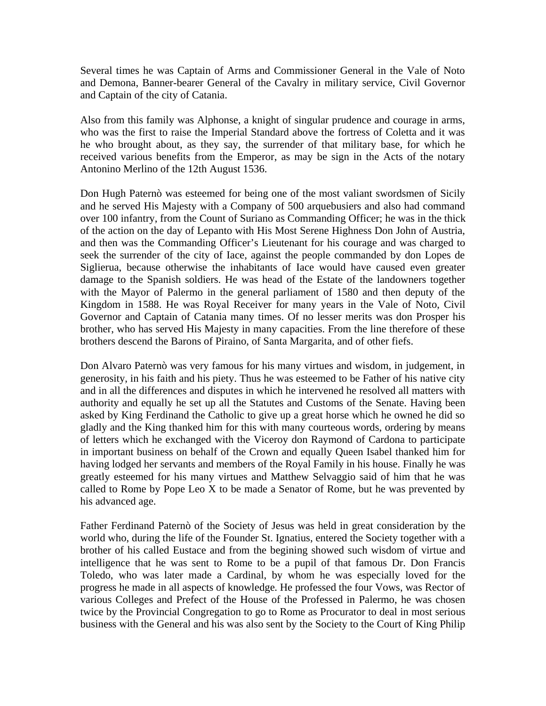Several times he was Captain of Arms and Commissioner General in the Vale of Noto and Demona, Banner-bearer General of the Cavalry in military service, Civil Governor and Captain of the city of Catania.

Also from this family was Alphonse, a knight of singular prudence and courage in arms, who was the first to raise the Imperial Standard above the fortress of Coletta and it was he who brought about, as they say, the surrender of that military base, for which he received various benefits from the Emperor, as may be sign in the Acts of the notary Antonino Merlino of the 12th August 1536.

Don Hugh Paternò was esteemed for being one of the most valiant swordsmen of Sicily and he served His Majesty with a Company of 500 arquebusiers and also had command over 100 infantry, from the Count of Suriano as Commanding Officer; he was in the thick of the action on the day of Lepanto with His Most Serene Highness Don John of Austria, and then was the Commanding Officer's Lieutenant for his courage and was charged to seek the surrender of the city of Iace, against the people commanded by don Lopes de Siglierua, because otherwise the inhabitants of Iace would have caused even greater damage to the Spanish soldiers. He was head of the Estate of the landowners together with the Mayor of Palermo in the general parliament of 1580 and then deputy of the Kingdom in 1588. He was Royal Receiver for many years in the Vale of Noto, Civil Governor and Captain of Catania many times. Of no lesser merits was don Prosper his brother, who has served His Majesty in many capacities. From the line therefore of these brothers descend the Barons of Piraino, of Santa Margarita, and of other fiefs.

Don Alvaro Paternò was very famous for his many virtues and wisdom, in judgement, in generosity, in his faith and his piety. Thus he was esteemed to be Father of his native city and in all the differences and disputes in which he intervened he resolved all matters with authority and equally he set up all the Statutes and Customs of the Senate. Having been asked by King Ferdinand the Catholic to give up a great horse which he owned he did so gladly and the King thanked him for this with many courteous words, ordering by means of letters which he exchanged with the Viceroy don Raymond of Cardona to participate in important business on behalf of the Crown and equally Queen Isabel thanked him for having lodged her servants and members of the Royal Family in his house. Finally he was greatly esteemed for his many virtues and Matthew Selvaggio said of him that he was called to Rome by Pope Leo X to be made a Senator of Rome, but he was prevented by his advanced age.

Father Ferdinand Paternò of the Society of Jesus was held in great consideration by the world who, during the life of the Founder St. Ignatius, entered the Society together with a brother of his called Eustace and from the begining showed such wisdom of virtue and intelligence that he was sent to Rome to be a pupil of that famous Dr. Don Francis Toledo, who was later made a Cardinal, by whom he was especially loved for the progress he made in all aspects of knowledge. He professed the four Vows, was Rector of various Colleges and Prefect of the House of the Professed in Palermo, he was chosen twice by the Provincial Congregation to go to Rome as Procurator to deal in most serious business with the General and his was also sent by the Society to the Court of King Philip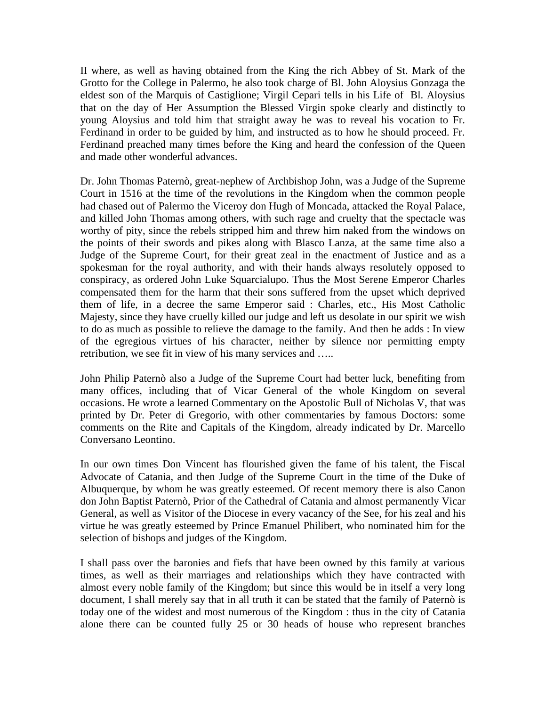II where, as well as having obtained from the King the rich Abbey of St. Mark of the Grotto for the College in Palermo, he also took charge of Bl. John Aloysius Gonzaga the eldest son of the Marquis of Castiglione; Virgil Cepari tells in his Life of Bl. Aloysius that on the day of Her Assumption the Blessed Virgin spoke clearly and distinctly to young Aloysius and told him that straight away he was to reveal his vocation to Fr. Ferdinand in order to be guided by him, and instructed as to how he should proceed. Fr. Ferdinand preached many times before the King and heard the confession of the Queen and made other wonderful advances.

Dr. John Thomas Paternò, great-nephew of Archbishop John, was a Judge of the Supreme Court in 1516 at the time of the revolutions in the Kingdom when the common people had chased out of Palermo the Viceroy don Hugh of Moncada, attacked the Royal Palace, and killed John Thomas among others, with such rage and cruelty that the spectacle was worthy of pity, since the rebels stripped him and threw him naked from the windows on the points of their swords and pikes along with Blasco Lanza, at the same time also a Judge of the Supreme Court, for their great zeal in the enactment of Justice and as a spokesman for the royal authority, and with their hands always resolutely opposed to conspiracy, as ordered John Luke Squarcialupo. Thus the Most Serene Emperor Charles compensated them for the harm that their sons suffered from the upset which deprived them of life, in a decree the same Emperor said : Charles, etc., His Most Catholic Majesty, since they have cruelly killed our judge and left us desolate in our spirit we wish to do as much as possible to relieve the damage to the family. And then he adds : In view of the egregious virtues of his character, neither by silence nor permitting empty retribution, we see fit in view of his many services and …..

John Philip Paternò also a Judge of the Supreme Court had better luck, benefiting from many offices, including that of Vicar General of the whole Kingdom on several occasions. He wrote a learned Commentary on the Apostolic Bull of Nicholas V, that was printed by Dr. Peter di Gregorio, with other commentaries by famous Doctors: some comments on the Rite and Capitals of the Kingdom, already indicated by Dr. Marcello Conversano Leontino.

In our own times Don Vincent has flourished given the fame of his talent, the Fiscal Advocate of Catania, and then Judge of the Supreme Court in the time of the Duke of Albuquerque, by whom he was greatly esteemed. Of recent memory there is also Canon don John Baptist Paternò, Prior of the Cathedral of Catania and almost permanently Vicar General, as well as Visitor of the Diocese in every vacancy of the See, for his zeal and his virtue he was greatly esteemed by Prince Emanuel Philibert, who nominated him for the selection of bishops and judges of the Kingdom.

I shall pass over the baronies and fiefs that have been owned by this family at various times, as well as their marriages and relationships which they have contracted with almost every noble family of the Kingdom; but since this would be in itself a very long document, I shall merely say that in all truth it can be stated that the family of Paternò is today one of the widest and most numerous of the Kingdom : thus in the city of Catania alone there can be counted fully 25 or 30 heads of house who represent branches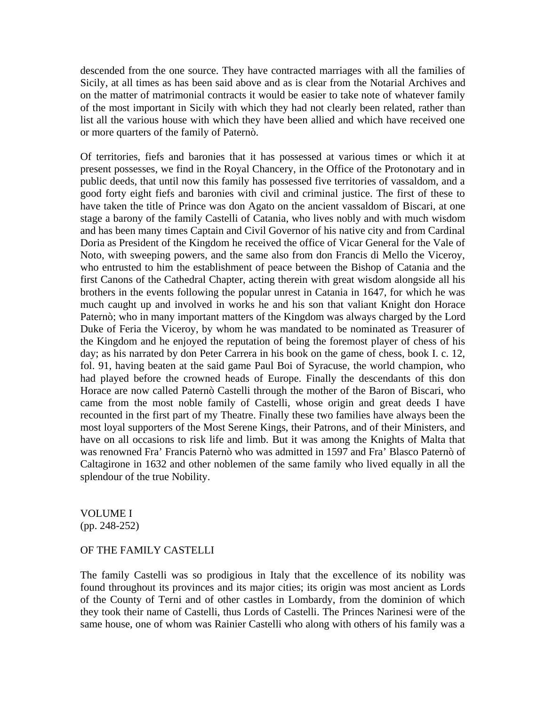descended from the one source. They have contracted marriages with all the families of Sicily, at all times as has been said above and as is clear from the Notarial Archives and on the matter of matrimonial contracts it would be easier to take note of whatever family of the most important in Sicily with which they had not clearly been related, rather than list all the various house with which they have been allied and which have received one or more quarters of the family of Paternò.

Of territories, fiefs and baronies that it has possessed at various times or which it at present possesses, we find in the Royal Chancery, in the Office of the Protonotary and in public deeds, that until now this family has possessed five territories of vassaldom, and a good forty eight fiefs and baronies with civil and criminal justice. The first of these to have taken the title of Prince was don Agato on the ancient vassaldom of Biscari, at one stage a barony of the family Castelli of Catania, who lives nobly and with much wisdom and has been many times Captain and Civil Governor of his native city and from Cardinal Doria as President of the Kingdom he received the office of Vicar General for the Vale of Noto, with sweeping powers, and the same also from don Francis di Mello the Viceroy, who entrusted to him the establishment of peace between the Bishop of Catania and the first Canons of the Cathedral Chapter, acting therein with great wisdom alongside all his brothers in the events following the popular unrest in Catania in 1647, for which he was much caught up and involved in works he and his son that valiant Knight don Horace Paternò; who in many important matters of the Kingdom was always charged by the Lord Duke of Feria the Viceroy, by whom he was mandated to be nominated as Treasurer of the Kingdom and he enjoyed the reputation of being the foremost player of chess of his day; as his narrated by don Peter Carrera in his book on the game of chess, book I. c. 12, fol. 91, having beaten at the said game Paul Boi of Syracuse, the world champion, who had played before the crowned heads of Europe. Finally the descendants of this don Horace are now called Paternò Castelli through the mother of the Baron of Biscari, who came from the most noble family of Castelli, whose origin and great deeds I have recounted in the first part of my Theatre. Finally these two families have always been the most loyal supporters of the Most Serene Kings, their Patrons, and of their Ministers, and have on all occasions to risk life and limb. But it was among the Knights of Malta that was renowned Fra' Francis Paternò who was admitted in 1597 and Fra' Blasco Paternò of Caltagirone in 1632 and other noblemen of the same family who lived equally in all the splendour of the true Nobility.

## VOLUME I (pp. 248-252)

## OF THE FAMILY CASTELLI

The family Castelli was so prodigious in Italy that the excellence of its nobility was found throughout its provinces and its major cities; its origin was most ancient as Lords of the County of Terni and of other castles in Lombardy, from the dominion of which they took their name of Castelli, thus Lords of Castelli. The Princes Narinesi were of the same house, one of whom was Rainier Castelli who along with others of his family was a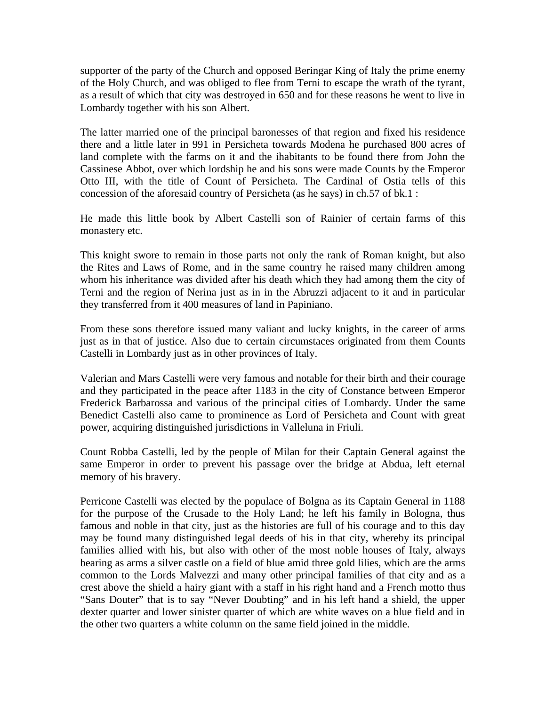supporter of the party of the Church and opposed Beringar King of Italy the prime enemy of the Holy Church, and was obliged to flee from Terni to escape the wrath of the tyrant, as a result of which that city was destroyed in 650 and for these reasons he went to live in Lombardy together with his son Albert.

The latter married one of the principal baronesses of that region and fixed his residence there and a little later in 991 in Persicheta towards Modena he purchased 800 acres of land complete with the farms on it and the ihabitants to be found there from John the Cassinese Abbot, over which lordship he and his sons were made Counts by the Emperor Otto III, with the title of Count of Persicheta. The Cardinal of Ostia tells of this concession of the aforesaid country of Persicheta (as he says) in ch.57 of bk.1 :

He made this little book by Albert Castelli son of Rainier of certain farms of this monastery etc.

This knight swore to remain in those parts not only the rank of Roman knight, but also the Rites and Laws of Rome, and in the same country he raised many children among whom his inheritance was divided after his death which they had among them the city of Terni and the region of Nerina just as in in the Abruzzi adjacent to it and in particular they transferred from it 400 measures of land in Papiniano.

From these sons therefore issued many valiant and lucky knights, in the career of arms just as in that of justice. Also due to certain circumstaces originated from them Counts Castelli in Lombardy just as in other provinces of Italy.

Valerian and Mars Castelli were very famous and notable for their birth and their courage and they participated in the peace after 1183 in the city of Constance between Emperor Frederick Barbarossa and various of the principal cities of Lombardy. Under the same Benedict Castelli also came to prominence as Lord of Persicheta and Count with great power, acquiring distinguished jurisdictions in Valleluna in Friuli.

Count Robba Castelli, led by the people of Milan for their Captain General against the same Emperor in order to prevent his passage over the bridge at Abdua, left eternal memory of his bravery.

Perricone Castelli was elected by the populace of Bolgna as its Captain General in 1188 for the purpose of the Crusade to the Holy Land; he left his family in Bologna, thus famous and noble in that city, just as the histories are full of his courage and to this day may be found many distinguished legal deeds of his in that city, whereby its principal families allied with his, but also with other of the most noble houses of Italy, always bearing as arms a silver castle on a field of blue amid three gold lilies, which are the arms common to the Lords Malvezzi and many other principal families of that city and as a crest above the shield a hairy giant with a staff in his right hand and a French motto thus "Sans Douter" that is to say "Never Doubting" and in his left hand a shield, the upper dexter quarter and lower sinister quarter of which are white waves on a blue field and in the other two quarters a white column on the same field joined in the middle.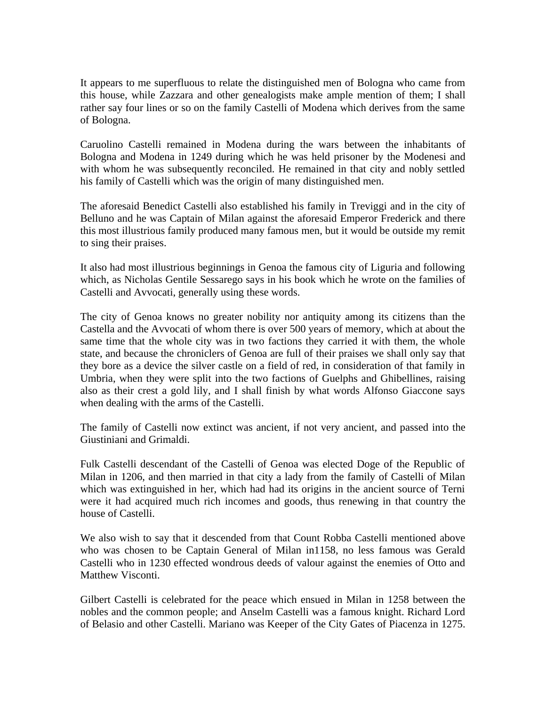It appears to me superfluous to relate the distinguished men of Bologna who came from this house, while Zazzara and other genealogists make ample mention of them; I shall rather say four lines or so on the family Castelli of Modena which derives from the same of Bologna.

Caruolino Castelli remained in Modena during the wars between the inhabitants of Bologna and Modena in 1249 during which he was held prisoner by the Modenesi and with whom he was subsequently reconciled. He remained in that city and nobly settled his family of Castelli which was the origin of many distinguished men.

The aforesaid Benedict Castelli also established his family in Treviggi and in the city of Belluno and he was Captain of Milan against the aforesaid Emperor Frederick and there this most illustrious family produced many famous men, but it would be outside my remit to sing their praises.

It also had most illustrious beginnings in Genoa the famous city of Liguria and following which, as Nicholas Gentile Sessarego says in his book which he wrote on the families of Castelli and Avvocati, generally using these words.

The city of Genoa knows no greater nobility nor antiquity among its citizens than the Castella and the Avvocati of whom there is over 500 years of memory, which at about the same time that the whole city was in two factions they carried it with them, the whole state, and because the chroniclers of Genoa are full of their praises we shall only say that they bore as a device the silver castle on a field of red, in consideration of that family in Umbria, when they were split into the two factions of Guelphs and Ghibellines, raising also as their crest a gold lily, and I shall finish by what words Alfonso Giaccone says when dealing with the arms of the Castelli.

The family of Castelli now extinct was ancient, if not very ancient, and passed into the Giustiniani and Grimaldi.

Fulk Castelli descendant of the Castelli of Genoa was elected Doge of the Republic of Milan in 1206, and then married in that city a lady from the family of Castelli of Milan which was extinguished in her, which had had its origins in the ancient source of Terni were it had acquired much rich incomes and goods, thus renewing in that country the house of Castelli.

We also wish to say that it descended from that Count Robba Castelli mentioned above who was chosen to be Captain General of Milan in1158, no less famous was Gerald Castelli who in 1230 effected wondrous deeds of valour against the enemies of Otto and Matthew Visconti.

Gilbert Castelli is celebrated for the peace which ensued in Milan in 1258 between the nobles and the common people; and Anselm Castelli was a famous knight. Richard Lord of Belasio and other Castelli. Mariano was Keeper of the City Gates of Piacenza in 1275.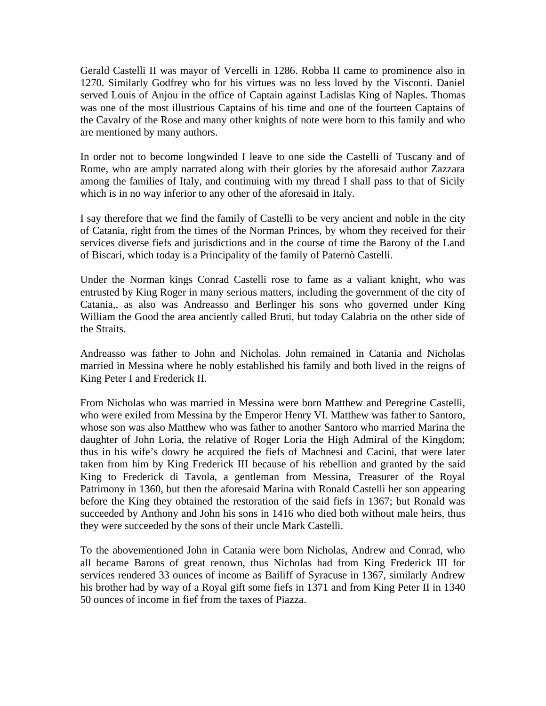Gerald Castelli II was mayor of Vercelli in 1286. Robba II came to prominence also in 1270. Similarly Godfrey who for his virtues was no less loved by the Visconti. Daniel served Louis of Anjou in the office of Captain against Ladislas King of Naples. Thomas was one of the most illustrious Captains of his time and one of the fourteen Captains of the Cavalry of the Rose and many other knights of note were born to this family and who are mentioned by many authors.

In order not to become longwinded I leave to one side the Castelli of Tuscany and of Rome, who are amply narrated along with their glories by the aforesaid author Zazzara among the families of Italy, and continuing with my thread I shall pass to that of Sicily which is in no way inferior to any other of the aforesaid in Italy.

I say therefore that we find the family of Castelli to be very ancient and noble in the city of Catania, right from the times of the Norman Princes, by whom they received for their services diverse fiefs and jurisdictions and in the course of time the Barony of the Land of Biscari, which today is a Principality of the family of Paternò Castelli.

Under the Norman kings Conrad Castelli rose to fame as a valiant knight, who was entrusted by King Roger in many serious matters, including the government of the city of Catania,, as also was Andreasso and Berlinger his sons who governed under King William the Good the area anciently called Bruti, but today Calabria on the other side of the Straits.

Andreasso was father to John and Nicholas. John remained in Catania and Nicholas married in Messina where he nobly established his family and both lived in the reigns of King Peter I and Frederick II.

From Nicholas who was married in Messina were born Matthew and Peregrine Castelli, who were exiled from Messina by the Emperor Henry VI. Matthew was father to Santoro, whose son was also Matthew who was father to another Santoro who married Marina the daughter of John Loria, the relative of Roger Loria the High Admiral of the Kingdom; thus in his wife's dowry he acquired the fiefs of Machnesi and Cacini, that were later taken from him by King Frederick III because of his rebellion and granted by the said King to Frederick di Tavola, a gentleman from Messina, Treasurer of the Royal Patrimony in 1360, but then the aforesaid Marina with Ronald Castelli her son appearing before the King they obtained the restoration of the said fiefs in 1367; but Ronald was succeeded by Anthony and John his sons in 1416 who died both without male heirs, thus they were succeeded by the sons of their uncle Mark Castelli.

To the abovementioned John in Catania were born Nicholas, Andrew and Conrad, who all became Barons of great renown, thus Nicholas had from King Frederick III for services rendered 33 ounces of income as Bailiff of Syracuse in 1367, similarly Andrew his brother had by way of a Royal gift some fiefs in 1371 and from King Peter II in 1340 50 ounces of income in fief from the taxes of Piazza.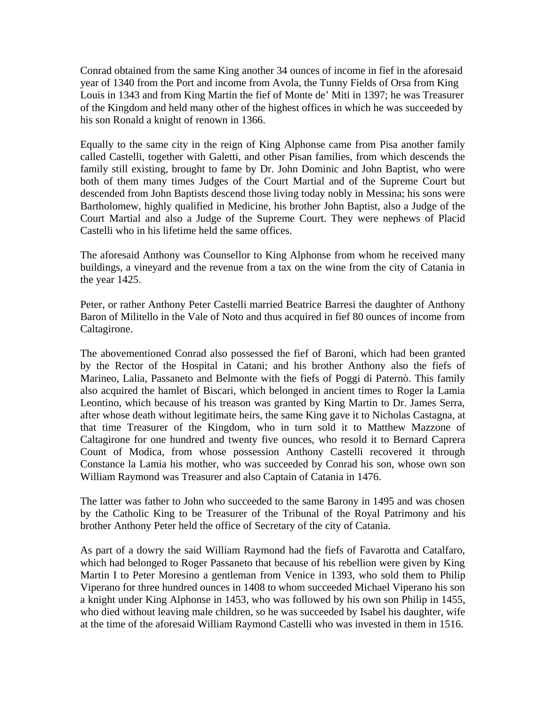Conrad obtained from the same King another 34 ounces of income in fief in the aforesaid year of 1340 from the Port and income from Avola, the Tunny Fields of Orsa from King Louis in 1343 and from King Martin the fief of Monte de' Miti in 1397; he was Treasurer of the Kingdom and held many other of the highest offices in which he was succeeded by his son Ronald a knight of renown in 1366.

Equally to the same city in the reign of King Alphonse came from Pisa another family called Castelli, together with Galetti, and other Pisan families, from which descends the family still existing, brought to fame by Dr. John Dominic and John Baptist, who were both of them many times Judges of the Court Martial and of the Supreme Court but descended from John Baptists descend those living today nobly in Messina; his sons were Bartholomew, highly qualified in Medicine, his brother John Baptist, also a Judge of the Court Martial and also a Judge of the Supreme Court. They were nephews of Placid Castelli who in his lifetime held the same offices.

The aforesaid Anthony was Counsellor to King Alphonse from whom he received many buildings, a vineyard and the revenue from a tax on the wine from the city of Catania in the year 1425.

Peter, or rather Anthony Peter Castelli married Beatrice Barresi the daughter of Anthony Baron of Militello in the Vale of Noto and thus acquired in fief 80 ounces of income from Caltagirone.

The abovementioned Conrad also possessed the fief of Baroni, which had been granted by the Rector of the Hospital in Catani; and his brother Anthony also the fiefs of Marineo, Lalia, Passaneto and Belmonte with the fiefs of Poggi di Paternò. This family also acquired the hamlet of Biscari, which belonged in ancient times to Roger la Lamia Leontino, which because of his treason was granted by King Martin to Dr. James Serra, after whose death without legitimate heirs, the same King gave it to Nicholas Castagna, at that time Treasurer of the Kingdom, who in turn sold it to Matthew Mazzone of Caltagirone for one hundred and twenty five ounces, who resold it to Bernard Caprera Count of Modica, from whose possession Anthony Castelli recovered it through Constance la Lamia his mother, who was succeeded by Conrad his son, whose own son William Raymond was Treasurer and also Captain of Catania in 1476.

The latter was father to John who succeeded to the same Barony in 1495 and was chosen by the Catholic King to be Treasurer of the Tribunal of the Royal Patrimony and his brother Anthony Peter held the office of Secretary of the city of Catania.

As part of a dowry the said William Raymond had the fiefs of Favarotta and Catalfaro, which had belonged to Roger Passaneto that because of his rebellion were given by King Martin I to Peter Moresino a gentleman from Venice in 1393, who sold them to Philip Viperano for three hundred ounces in 1408 to whom succeeded Michael Viperano his son a knight under King Alphonse in 1453, who was followed by his own son Philip in 1455, who died without leaving male children, so he was succeeded by Isabel his daughter, wife at the time of the aforesaid William Raymond Castelli who was invested in them in 1516.